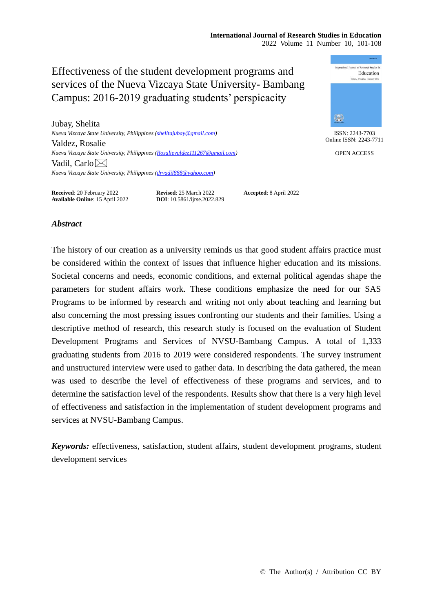mational Journal of Research Studies in Effectiveness of the student development programs and Education services of the Nueva Vizcaya State University- Bambang Campus: 2016-2019 graduating students' perspicacity \$ Jubay, Shelita *Nueva Vizcaya State University, Philippines [\(shelitajubay@gmail.com\)](mailto:shelitajubay@gmail.com)* ISSN: 2243-7703 Online ISSN: 2243-7711 Valdez, Rosalie *Nueva Vizcaya State University, Philippines [\(Rosalievaldez111267@gmail.com\)](mailto:Rosalievaldez111267@gmail.com)* OPEN ACCESS Vadil, Carlo $\boxtimes$ *Nueva Vizcaya State University, Philippines [\(drvadil888@yahoo.com\)](mailto:drvadil888@yahoo.com)* **Received**: 20 February 2022 **Revised**: 25 March 2022 **Accepted**: 8 April 2022

## *Abstract*

**Available Online**: 15 April 2022 **DOI**: 10.5861/ijrse.2022.829

The history of our creation as a university reminds us that good student affairs practice must be considered within the context of issues that influence higher education and its missions. Societal concerns and needs, economic conditions, and external political agendas shape the parameters for student affairs work. These conditions emphasize the need for our SAS Programs to be informed by research and writing not only about teaching and learning but also concerning the most pressing issues confronting our students and their families. Using a descriptive method of research, this research study is focused on the evaluation of Student Development Programs and Services of NVSU-Bambang Campus. A total of 1,333 graduating students from 2016 to 2019 were considered respondents. The survey instrument and unstructured interview were used to gather data. In describing the data gathered, the mean was used to describe the level of effectiveness of these programs and services, and to determine the satisfaction level of the respondents. Results show that there is a very high level of effectiveness and satisfaction in the implementation of student development programs and services at NVSU-Bambang Campus.

*Keywords:* effectiveness, satisfaction, student affairs, student development programs, student development services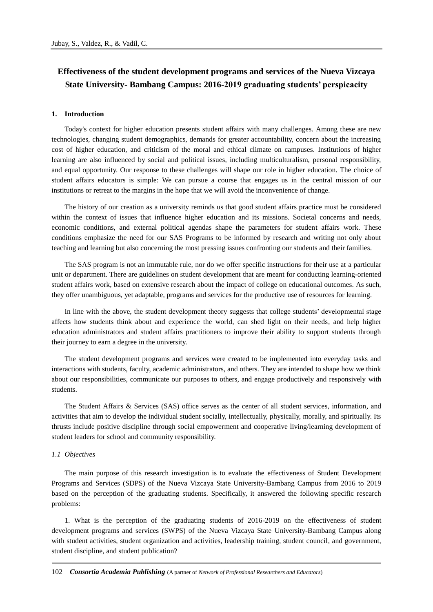# **Effectiveness of the student development programs and services of the Nueva Vizcaya State University- Bambang Campus: 2016-2019 graduating students' perspicacity**

#### **1. Introduction**

Today's context for higher education presents student affairs with many challenges. Among these are new technologies, changing student demographics, demands for greater accountability, concern about the increasing cost of higher education, and criticism of the moral and ethical climate on campuses. Institutions of higher learning are also influenced by social and political issues, including multiculturalism, personal responsibility, and equal opportunity. Our response to these challenges will shape our role in higher education. The choice of student affairs educators is simple: We can pursue a course that engages us in the central mission of our institutions or retreat to the margins in the hope that we will avoid the inconvenience of change.

The history of our creation as a university reminds us that good student affairs practice must be considered within the context of issues that influence higher education and its missions. Societal concerns and needs, economic conditions, and external political agendas shape the parameters for student affairs work. These conditions emphasize the need for our SAS Programs to be informed by research and writing not only about teaching and learning but also concerning the most pressing issues confronting our students and their families.

The SAS program is not an immutable rule, nor do we offer specific instructions for their use at a particular unit or department. There are guidelines on student development that are meant for conducting learning-oriented student affairs work, based on extensive research about the impact of college on educational outcomes. As such, they offer unambiguous, yet adaptable, programs and services for the productive use of resources for learning.

In line with the above, the student development theory suggests that college students' developmental stage affects how students think about and experience the world, can shed light on their needs, and help higher education administrators and student affairs practitioners to improve their ability to support students through their journey to earn a degree in the university.

The student development programs and services were created to be implemented into everyday tasks and interactions with students, faculty, academic administrators, and others. They are intended to shape how we think about our responsibilities, communicate our purposes to others, and engage productively and responsively with students.

The Student Affairs & Services (SAS) office serves as the center of all student services, information, and activities that aim to develop the individual student socially, intellectually, physically, morally, and spiritually. Its thrusts include positive discipline through social empowerment and cooperative living/learning development of student leaders for school and community responsibility.

#### *1.1 Objectives*

The main purpose of this research investigation is to evaluate the effectiveness of Student Development Programs and Services (SDPS) of the Nueva Vizcaya State University-Bambang Campus from 2016 to 2019 based on the perception of the graduating students. Specifically, it answered the following specific research problems:

1. What is the perception of the graduating students of 2016-2019 on the effectiveness of student development programs and services (SWPS) of the Nueva Vizcaya State University-Bambang Campus along with student activities, student organization and activities, leadership training, student council, and government, student discipline, and student publication?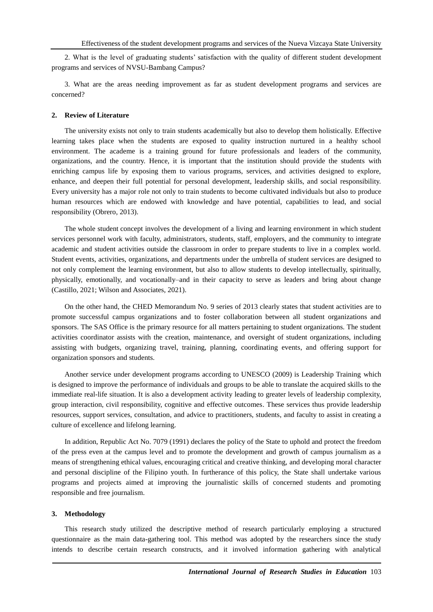2. What is the level of graduating students' satisfaction with the quality of different student development programs and services of NVSU-Bambang Campus?

3. What are the areas needing improvement as far as student development programs and services are concerned?

## **2. Review of Literature**

The university exists not only to train students academically but also to develop them holistically. Effective learning takes place when the students are exposed to quality instruction nurtured in a healthy school environment. The academe is a training ground for future professionals and leaders of the community, organizations, and the country. Hence, it is important that the institution should provide the students with enriching campus life by exposing them to various programs, services, and activities designed to explore, enhance, and deepen their full potential for personal development, leadership skills, and social responsibility. Every university has a major role not only to train students to become cultivated individuals but also to produce human resources which are endowed with knowledge and have potential, capabilities to lead, and social responsibility (Obrero, 2013).

The whole student concept involves the development of a living and learning environment in which student services personnel work with faculty, administrators, students, staff, employers, and the community to integrate academic and student activities outside the classroom in order to prepare students to live in a complex world. Student events, activities, organizations, and departments under the umbrella of student services are designed to not only complement the learning environment, but also to allow students to develop intellectually, spiritually, physically, emotionally, and vocationally–and in their capacity to serve as leaders and bring about change (Castillo, 2021; Wilson and Associates, 2021).

On the other hand, the CHED Memorandum No. 9 series of 2013 clearly states that student activities are to promote successful campus organizations and to foster collaboration between all student organizations and sponsors. The SAS Office is the primary resource for all matters pertaining to student organizations. The student activities coordinator assists with the creation, maintenance, and oversight of student organizations, including assisting with budgets, organizing travel, training, planning, coordinating events, and offering support for organization sponsors and students.

Another service under development programs according to UNESCO (2009) is Leadership Training which is designed to improve the performance of individuals and groups to be able to translate the acquired skills to the immediate real-life situation. It is also a development activity leading to greater levels of leadership complexity, group interaction, civil responsibility, cognitive and effective outcomes. These services thus provide leadership resources, support services, consultation, and advice to practitioners, students, and faculty to assist in creating a culture of excellence and lifelong learning.

In addition, Republic Act No. 7079 (1991) declares the policy of the State to uphold and protect the freedom of the press even at the campus level and to promote the development and growth of campus journalism as a means of strengthening ethical values, encouraging critical and creative thinking, and developing moral character and personal discipline of the Filipino youth. In furtherance of this policy, the State shall undertake various programs and projects aimed at improving the journalistic skills of concerned students and promoting responsible and free journalism.

### **3. Methodology**

This research study utilized the descriptive method of research particularly employing a structured questionnaire as the main data-gathering tool. This method was adopted by the researchers since the study intends to describe certain research constructs, and it involved information gathering with analytical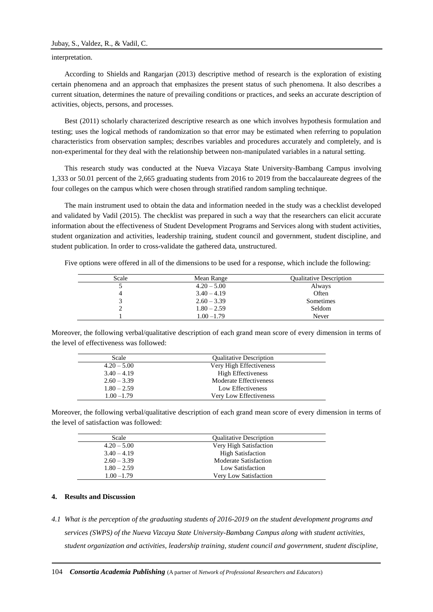### interpretation.

According to Shields and Rangarjan (2013) descriptive method of research is the exploration of existing certain phenomena and an approach that emphasizes the present status of such phenomena. It also describes a current situation, determines the nature of prevailing conditions or practices, and seeks an accurate description of activities, objects, persons, and processes.

Best (2011) scholarly characterized descriptive research as one which involves hypothesis formulation and testing; uses the logical methods of randomization so that error may be estimated when referring to population characteristics from observation samples; describes variables and procedures accurately and completely, and is non-experimental for they deal with the relationship between non-manipulated variables in a natural setting.

This research study was conducted at the Nueva Vizcaya State University-Bambang Campus involving 1,333 or 50.01 percent of the 2,665 graduating students from 2016 to 2019 from the baccalaureate degrees of the four colleges on the campus which were chosen through stratified random sampling technique.

The main instrument used to obtain the data and information needed in the study was a checklist developed and validated by Vadil (2015). The checklist was prepared in such a way that the researchers can elicit accurate information about the effectiveness of Student Development Programs and Services along with student activities, student organization and activities, leadership training, student council and government, student discipline, and student publication. In order to cross-validate the gathered data, unstructured.

Five options were offered in all of the dimensions to be used for a response, which include the following:

| Scale | Mean Range    | <b>Qualitative Description</b> |
|-------|---------------|--------------------------------|
|       | $4.20 - 5.00$ | Always                         |
|       | $3.40 - 4.19$ | Often                          |
|       | $2.60 - 3.39$ | Sometimes                      |
|       | $1.80 - 2.59$ | Seldom                         |
|       | $1.00 - 1.79$ | Never                          |

Moreover, the following verbal/qualitative description of each grand mean score of every dimension in terms of the level of effectiveness was followed:

| Scale         | <b>Qualitative Description</b> |
|---------------|--------------------------------|
| $4.20 - 5.00$ | Very High Effectiveness        |
| $3.40 - 4.19$ | <b>High Effectiveness</b>      |
| $2.60 - 3.39$ | Moderate Effectiveness         |
| $1.80 - 2.59$ | Low Effectiveness              |
| $1.00 - 1.79$ | Very Low Effectiveness         |

Moreover, the following verbal/qualitative description of each grand mean score of every dimension in terms of the level of satisfaction was followed:

| Scale         | <b>Qualitative Description</b> |
|---------------|--------------------------------|
| $4.20 - 5.00$ | Very High Satisfaction         |
| $3.40 - 4.19$ | <b>High Satisfaction</b>       |
| $2.60 - 3.39$ | <b>Moderate Satisfaction</b>   |
| $1.80 - 2.59$ | Low Satisfaction               |
| $1.00 - 1.79$ | <b>Very Low Satisfaction</b>   |

## **4. Results and Discussion**

*4.1 What is the perception of the graduating students of 2016-2019 on the student development programs and services (SWPS) of the Nueva Vizcaya State University-Bambang Campus along with student activities, student organization and activities, leadership training, student council and government, student discipline,*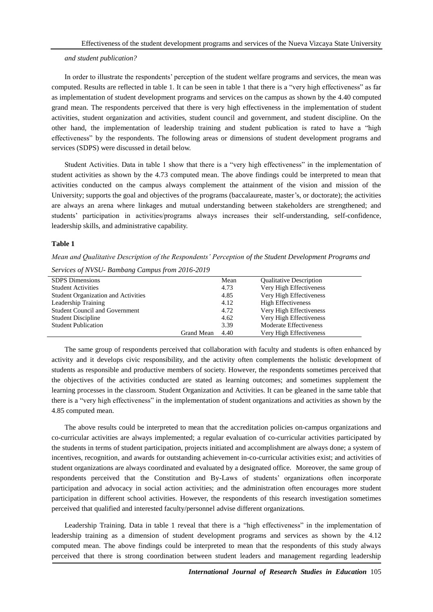#### *and student publication?*

In order to illustrate the respondents' perception of the student welfare programs and services, the mean was computed. Results are reflected in table 1. It can be seen in table 1 that there is a "very high effectiveness" as far as implementation of student development programs and services on the campus as shown by the 4.40 computed grand mean. The respondents perceived that there is very high effectiveness in the implementation of student activities, student organization and activities, student council and government, and student discipline. On the other hand, the implementation of leadership training and student publication is rated to have a "high effectiveness" by the respondents. The following areas or dimensions of student development programs and services (SDPS) were discussed in detail below.

Student Activities. Data in table 1 show that there is a "very high effectiveness" in the implementation of student activities as shown by the 4.73 computed mean. The above findings could be interpreted to mean that activities conducted on the campus always complement the attainment of the vision and mission of the University; supports the goal and objectives of the programs (baccalaureate, master's, or doctorate); the activities are always an arena where linkages and mutual understanding between stakeholders are strengthened; and students' participation in activities/programs always increases their self-understanding, self-confidence, leadership skills, and administrative capability.

#### **Table 1**

*Mean and Qualitative Description of the Respondents' Perception of the Student Development Programs and Services of NVSU- Bambang Campus from 2016-2019*

| <b>SDPS</b> Dimensions                |            | Mean | <b>Qualitative Description</b> |
|---------------------------------------|------------|------|--------------------------------|
| <b>Student Activities</b>             |            | 4.73 | Very High Effectiveness        |
| Student Organization and Activities   |            | 4.85 | Very High Effectiveness        |
| Leadership Training                   |            | 4.12 | <b>High Effectiveness</b>      |
| <b>Student Council and Government</b> |            | 4.72 | Very High Effectiveness        |
| <b>Student Discipline</b>             |            | 4.62 | Very High Effectiveness        |
| <b>Student Publication</b>            |            | 3.39 | Moderate Effectiveness         |
|                                       | Grand Mean | 4.40 | Very High Effectiveness        |
|                                       |            |      |                                |

The same group of respondents perceived that collaboration with faculty and students is often enhanced by activity and it develops civic responsibility, and the activity often complements the holistic development of students as responsible and productive members of society. However, the respondents sometimes perceived that the objectives of the activities conducted are stated as learning outcomes; and sometimes supplement the learning processes in the classroom. Student Organization and Activities. It can be gleaned in the same table that there is a "very high effectiveness" in the implementation of student organizations and activities as shown by the 4.85 computed mean.

The above results could be interpreted to mean that the accreditation policies on-campus organizations and co-curricular activities are always implemented; a regular evaluation of co-curricular activities participated by the students in terms of student participation, projects initiated and accomplishment are always done; a system of incentives, recognition, and awards for outstanding achievement in-co-curricular activities exist; and activities of student organizations are always coordinated and evaluated by a designated office. Moreover, the same group of respondents perceived that the Constitution and By-Laws of students' organizations often incorporate participation and advocacy in social action activities; and the administration often encourages more student participation in different school activities. However, the respondents of this research investigation sometimes perceived that qualified and interested faculty/personnel advise different organizations.

Leadership Training. Data in table 1 reveal that there is a "high effectiveness" in the implementation of leadership training as a dimension of student development programs and services as shown by the 4.12 computed mean. The above findings could be interpreted to mean that the respondents of this study always perceived that there is strong coordination between student leaders and management regarding leadership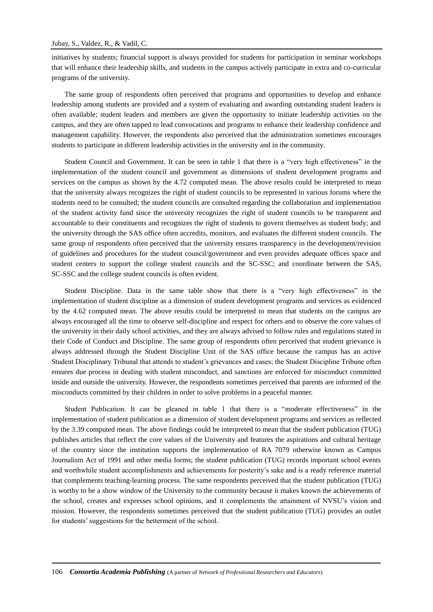initiatives by students; financial support is always provided for students for participation in seminar workshops that will enhance their leadership skills, and students in the campus actively participate in extra and co-curricular programs of the university.

The same group of respondents often perceived that programs and opportunities to develop and enhance leadership among students are provided and a system of evaluating and awarding outstanding student leaders is often available; student leaders and members are given the opportunity to initiate leadership activities on the campus, and they are often tapped to lead convocations and programs to enhance their leadership confidence and management capability. However, the respondents also perceived that the administration sometimes encourages students to participate in different leadership activities in the university and in the community.

Student Council and Government. It can be seen in table 1 that there is a "very high effectiveness" in the implementation of the student council and government as dimensions of student development programs and services on the campus as shown by the 4.72 computed mean. The above results could be interpreted to mean that the university always recognizes the right of student councils to be represented in various forums where the students need to be consulted; the student councils are consulted regarding the collaboration and implementation of the student activity fund since the university recognizes the right of student councils to be transparent and accountable to their constituents and recognizes the right of students to govern themselves as student body; and the university through the SAS office often accredits, monitors, and evaluates the different student councils. The same group of respondents often perceived that the university ensures transparency in the development/revision of guidelines and procedures for the student council/government and even provides adequate offices space and student centers to support the college student councils and the SC-SSC; and coordinate between the SAS, SC-SSC and the college student councils is often evident.

Student Discipline. Data in the same table show that there is a "very high effectiveness" in the implementation of student discipline as a dimension of student development programs and services as evidenced by the 4.62 computed mean. The above results could be interpreted to mean that students on the campus are always encouraged all the time to observe self-discipline and respect for others and to observe the core values of the university in their daily school activities, and they are always advised to follow rules and regulations stated in their Code of Conduct and Discipline. The same group of respondents often perceived that student grievance is always addressed through the Student Discipline Unit of the SAS office because the campus has an active Student Disciplinary Tribunal that attends to student's grievances and cases; the Student Discipline Tribune often ensures due process in dealing with student misconduct, and sanctions are enforced for misconduct committed inside and outside the university. However, the respondents sometimes perceived that parents are informed of the misconducts committed by their children in order to solve problems in a peaceful manner.

Student Publication. It can be gleaned in table 1 that there is a "moderate effectiveness" in the implementation of student publication as a dimension of student development programs and services as reflected by the 3.39 computed mean. The above findings could be interpreted to mean that the student publication (TUG) publishes articles that reflect the core values of the University and features the aspirations and cultural heritage of the country since the institution supports the implementation of RA 7079 otherwise known as Campus Journalism Act of 1991 and other media forms; the student publication (TUG) records important school events and worthwhile student accomplishments and achievements for posterity's sake and is a ready reference material that complements teaching-learning process. The same respondents perceived that the student publication (TUG) is worthy to be a show window of the University to the community because it makes known the achievements of the school, creates and expresses school opinions, and it complements the attainment of NVSU's vision and mission. However, the respondents sometimes perceived that the student publication (TUG) provides an outlet for students' suggestions for the betterment of the school.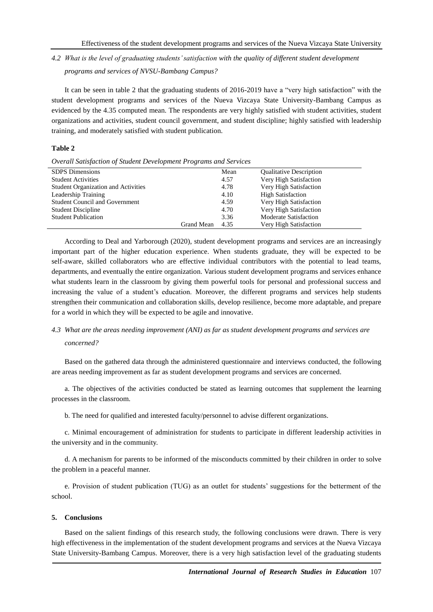# *4.2 What is the level of graduating students' satisfaction with the quality of different student development programs and services of NVSU-Bambang Campus?*

It can be seen in table 2 that the graduating students of 2016-2019 have a "very high satisfaction" with the student development programs and services of the Nueva Vizcaya State University-Bambang Campus as evidenced by the 4.35 computed mean. The respondents are very highly satisfied with student activities, student organizations and activities, student council government, and student discipline; highly satisfied with leadership training, and moderately satisfied with student publication.

## **Table 2**

| Overall Satisfaction of Student Development Programs and Services |  |  |
|-------------------------------------------------------------------|--|--|
|                                                                   |  |  |

| <b>SDPS</b> Dimensions                |            | Mean | <b>Qualitative Description</b> |
|---------------------------------------|------------|------|--------------------------------|
| <b>Student Activities</b>             |            | 4.57 | Very High Satisfaction         |
| Student Organization and Activities   |            | 4.78 | Very High Satisfaction         |
| Leadership Training                   |            | 4.10 | <b>High Satisfaction</b>       |
| <b>Student Council and Government</b> |            | 4.59 | Very High Satisfaction         |
| <b>Student Discipline</b>             |            | 4.70 | Very High Satisfaction         |
| <b>Student Publication</b>            |            | 3.36 | <b>Moderate Satisfaction</b>   |
|                                       | Grand Mean | 4.35 | Very High Satisfaction         |

According to Deal and Yarborough (2020), student development programs and services are an increasingly important part of the higher education experience. When students graduate, they will be expected to be self-aware, skilled collaborators who are effective individual contributors with the potential to lead teams, departments, and eventually the entire organization. Various student development programs and services enhance what students learn in the classroom by giving them powerful tools for personal and professional success and increasing the value of a student's education. Moreover, the different programs and services help students strengthen their communication and collaboration skills, develop resilience, become more adaptable, and prepare for a world in which they will be expected to be agile and innovative.

## *4.3 What are the areas needing improvement (ANI) as far as student development programs and services are concerned?*

Based on the gathered data through the administered questionnaire and interviews conducted, the following are areas needing improvement as far as student development programs and services are concerned.

a. The objectives of the activities conducted be stated as learning outcomes that supplement the learning processes in the classroom.

b. The need for qualified and interested faculty/personnel to advise different organizations.

c. Minimal encouragement of administration for students to participate in different leadership activities in the university and in the community.

d. A mechanism for parents to be informed of the misconducts committed by their children in order to solve the problem in a peaceful manner.

e. Provision of student publication (TUG) as an outlet for students' suggestions for the betterment of the school.

## **5. Conclusions**

Based on the salient findings of this research study, the following conclusions were drawn. There is very high effectiveness in the implementation of the student development programs and services at the Nueva Vizcaya State University-Bambang Campus. Moreover, there is a very high satisfaction level of the graduating students